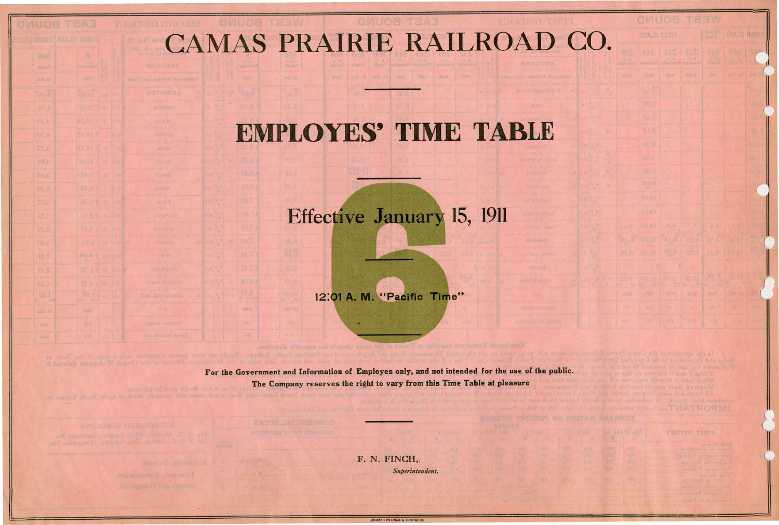## CAMAS PRAIRIE RAILROAD CO

## **EMPLOYES' TIME TABLE**

ant at the state that the state is and

## Effective January 15, 1911

12:01 A. M. "Pacific Time"

For the Government and Information of Employes only, and not intended for the use of the public. The Company reserves the right to vary from this Time Table at pleasure

28世代2,1410年2月10日

freeh tewards. Freeh

**SECOND DETERTS** 

F. N. FINCH. Superintendent.

**EWISTON PRINTING & BINDING CO.** 

|         | 团图<br><b>QMUOB</b><br>$\sqrt{2\pi}$ |                                          |             |                               |                                      |                    |                     |  |  |  |  |  |  |  |  |
|---------|-------------------------------------|------------------------------------------|-------------|-------------------------------|--------------------------------------|--------------------|---------------------|--|--|--|--|--|--|--|--|
|         |                                     | <b>22A.ID 12AI1</b>                      |             |                               | <b>Undand</b><br>annia               | <b>ZZAJO BAIHT</b> |                     |  |  |  |  |  |  |  |  |
| ng<br>N | QES                                 | 8.45<br><b>TESTING</b>                   | <b>IES</b>  | EES<br><b>SOUTHERN</b>        | 500<br>ALANT                         | 688<br>乌晶          | V<br>si.            |  |  |  |  |  |  |  |  |
| W       | 划行程                                 | etiers.                                  | 时间          | <b>VIVID</b>                  | vi-u                                 | Da. Wou            | dia t               |  |  |  |  |  |  |  |  |
| W       |                                     | 00.00                                    |             |                               |                                      |                    | G                   |  |  |  |  |  |  |  |  |
|         |                                     | <b>02.T</b>                              |             |                               |                                      |                    | 书                   |  |  |  |  |  |  |  |  |
|         |                                     | 7.45                                     |             |                               |                                      |                    | U.                  |  |  |  |  |  |  |  |  |
| W       |                                     | 01.8                                     |             |                               |                                      |                    | SA.                 |  |  |  |  |  |  |  |  |
|         |                                     | 88.8                                     |             |                               |                                      |                    | 84.01               |  |  |  |  |  |  |  |  |
| w       |                                     | 06.8                                     |             |                               |                                      |                    | 235.1               |  |  |  |  |  |  |  |  |
|         |                                     | 00.8                                     |             |                               |                                      |                    | 嘣                   |  |  |  |  |  |  |  |  |
| 82      |                                     | ■20.42                                   |             |                               |                                      |                    | <b>IG</b>           |  |  |  |  |  |  |  |  |
|         |                                     | W.OL                                     |             |                               |                                      |                    | OI.                 |  |  |  |  |  |  |  |  |
|         |                                     | a1.01                                    |             |                               |                                      |                    | ö.                  |  |  |  |  |  |  |  |  |
|         | <b>19. W</b>                        | ns.UI                                    | 进退          | $\mathcal{A}$ , $\mathcal{Y}$ | 四年1月                                 | $15 - 25$          | $\epsilon \sqrt{2}$ |  |  |  |  |  |  |  |  |
| ×       | es S                                | <b>88.01</b>                             | 2, 15       | OR P                          |                                      | en an tour         | 带                   |  |  |  |  |  |  |  |  |
|         | 88.片                                | PS.01                                    | <b>DRIS</b> | 98.6                          | 0.45                                 | NGL,11             | 篮                   |  |  |  |  |  |  |  |  |
|         |                                     |                                          |             |                               |                                      |                    |                     |  |  |  |  |  |  |  |  |
|         | 01.8                                | <b>OVERT</b><br>A HAN CONFIDENTIAL AND A | (局)         | 00.01                         | $\mathcal{O}$ ( $\mathcal{N}$<br>图 图 | No. VI             | W.                  |  |  |  |  |  |  |  |  |
|         | VIING                               | <b>UTILIZ</b>                            | wrest       | <b>ATTACK</b>                 | utinit                               | (8495) 27          |                     |  |  |  |  |  |  |  |  |
|         |                                     |                                          |             |                               |                                      |                    |                     |  |  |  |  |  |  |  |  |
|         | <b>Bare</b>                         | KIDS.                                    | A.V.        | 3.12                          | 0.511                                | 0.10               | 2.2                 |  |  |  |  |  |  |  |  |